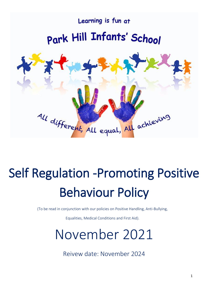

# Self Regulation -Promoting Positive Behaviour Policy

(To be read in conjunction with our policies on Positive Handling, Anti-Bullying,

Equalities, Medical Conditions and First Aid).

# November 2021

Reivew date: November 2024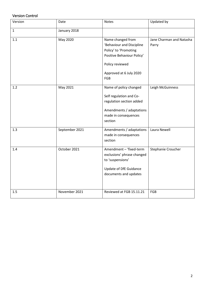# Version Control

| Version      | Date           | Notes                                                                                                                                                      | Updated by                        |
|--------------|----------------|------------------------------------------------------------------------------------------------------------------------------------------------------------|-----------------------------------|
| $\mathbf{1}$ | January 2018   |                                                                                                                                                            |                                   |
| 1.1          | May 2020       | Name changed from<br>'Behaviour and Discipline<br>Policy' to 'Promoting<br>Positive Behaviour Policy'<br>Policy reviewed<br>Approved at 6 July 2020<br>FGB | Jane Charman and Natasha<br>Parry |
| 1.2          | May 2021       | Name of policy changed<br>Self regulation and Co-<br>regulation section added<br>Amendments / adaptations<br>made in consequences<br>section               | Leigh McGuinness                  |
| 1.3          | September 2021 | Amendments / adaptations<br>made in consequences<br>section                                                                                                | Laura Newell                      |
| 1.4          | October 2021   | Amendment - 'fixed-term<br>exclusions' phrase changed<br>to 'suspensions'<br>Update of DfE Guidance<br>documents and updates                               | Stephanie Croucher                |
| 1.5          | November 2021  | Reviewed at FGB 15.11.21                                                                                                                                   | FGB                               |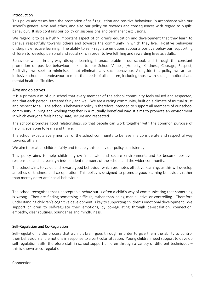#### Introduction

This policy addresses both the promotion of self regulation and positive behaviour, in accordance with our school's general aims and ethos, and also our policy on rewards and consequences with regard to pupils' behaviour. It also contains our policy on suspensions and permanent exclusions.

We regard it to be a highly important aspect of children's education and development that they learn to behave respectfully towards others and towards the community in which they live. Positive behaviour underpins effective learning. The ability to self- regulate emotions supports positive behaviour, supporting children to develop personal and social skills in order to live fulfilling and rewarding lives as adults.

Behaviour which, in any way, disrupts learning, is unacceptable in our school, and, through the constant promotion of positive behaviour, linked to our School Values, (Honesty, Kindness, Courage, Respect, Positivity), we seek to minimise, if not eliminate any such behaviour. Alongside this policy, we are an inclusive school and endeavour to meet the needs of all children, including those with social, emotional and mental health difficulties.

#### Aims and objectives

It is a primary aim of our school that every member of the school community feels valued and respected, and that each person is treated fairly and well. We are a caring community, built on a climate of mutual trust and respect for all. The school's behaviour policy is therefore intended to support all members of our school community in living and working together in a mutually beneficial way. It aims to promote an environment in which everyone feels happy, safe, secure and respected.

The school promotes good relationships, so that people can work together with the common purpose of helping everyone to learn and thrive.

The school expects every member of the school community to behave in a considerate and respectful way towards others.

We aim to treat all children fairly and to apply this behaviour policy consistently.

This policy aims to help children grow in a safe and secure environment, and to become positive, responsible and increasingly independent members of the school and the wider community.

The school aims to value and reward good behaviour which promotes effective learning, as this will develop an ethos of kindness and co-operation. This policy is designed to promote good learning behaviour, rather than merely deter anti-social behaviour.

The school recognises that unacceptable behaviour is often a child's way of communicating that something is wrong. They are finding something difficult, rather than being manipulative or controlling. Therefore understanding children's cognitive development is key to supporting children's emotional development. We support children to self-regulate their emotions, by co-regulating through de-escalation, connection, empathy, clear routines, boundaries and mindfulness.

#### Self-Regulation and Co-Regulation

Self-regulation is the process that a child's brain goes through in order to give them the ability to control their behaviours and emotions in response to a particular situation. Young children need support to develop self-regulation skills, therefore staff in school support children through a variety of different techniques – this is known as co-regulation.

Connection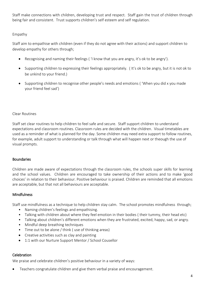Staff make connections with children, developing trust and respect. Staff gain the trust of children through being fair and consistent. Trust supports children's self esteem and self regulation.

# Empathy

Staff aim to empathise with children (even if they do not agree with their actions) and support children to develop empathy for others through;

- Recognising and naming their feelings ( 'I know that you are angry, it's ok to be angry').
- Supporting children to expressing their feelings appropriately. ( It's ok to be angry, but it is not ok to be unkind to your friend.)
- Supporting children to recognise other people's needs and emotions ( 'When you did x you made your friend feel sad')

# Clear Routines

Staff set clear routines to help children to feel safe and secure. Staff support children to understand expectations and classroom routines. Classroom rules are decided with the children. Visual timetables are used as a reminder of what is planned for the day. Some children may need extra support to follow routines, for example, adult support to understanding or talk through what will happen next or theough the use of visual prompts.

# Boundaries

Children are made aware of expectations through the classroom rules, the schools super skills for learning and the school values. Children are encouraged to take ownership of their actions and to make 'good choices' in relation to their behaviour. Positive behaviour is praised. Children are reminded that all emotions are acceptable, but that not all behaviours are acceptable.

# **Mindfulness**

Staff use mindfulness as a technique to help children stay calm. The school promotes mindfulness through;

- Naming children's feelings and empathising.
- Talking with children about where they feel emotion in their bodies ( their tummy, their head etc)
- Talking about children's different emotions when they are frustrated, excited, happy, sad, or angry.
- Mindful deep breathing techniques
- Time out to be alone / think ( use of thinking areas)
- Creative activities such as clay and painting
- 1:1 with our Nurture Support Mentor / School Cousellor

# **Celebration**

We praise and celebrate children's positive behaviour in a variety of ways:

• Teachers congratulate children and give them verbal praise and encouragement.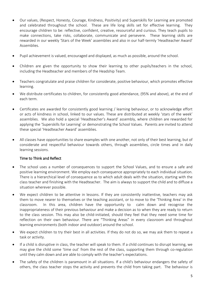- Our values, (Respect, Honesty, Courage, Kindness, Positivity) and Superskills for Learning are promoted and celebrated throughout the school. These are life long skills set for effective learning. They encourage children to be: reflective, confident, creative, resourceful and curious. They teach pupils to make connections, take risks, collaborate, communicate and persevere. These learning skills are rewarded in our weekly 'Stars of the Week' assemblies and also in our half-termly 'Headteacher Award' Assemblies.
- Pupil achievement is valued, encouraged and displayed, as much as possible, around the school.
- Children are given the opportunity to show their learning to other pupils/teachers in the school, including the Headteacher and members of the Headship Team.
- Teachers congratulate and praise children for considerate, positive behaviour, which promotes effective learning.
- We distribute certificates to children, for consistently good attendance, (95% and above), at the end of each term.
- Certificates are awarded for consistently good learning / learning behaviour, or to acknowledge effort or acts of kindness in school, linked to our values. These are distributed at weekly 'stars of the week' assemblies. We also hold a special 'Headteacher's Award' assembly, where children are rewarded for applying the 'Superskills for Learning' or demonstrating the School Values. Parents are invited to attend these special 'Headteacher Award' assemblies.
- All classes have opportunities to share examples with one another, not only of their best learning, but of considerate and respectful behaviour towards others, through assemblies, circle times and in daily learning sessions.

# Time to Think and Reflect

- The school uses a number of consequences to support the School Values, and to ensure a safe and positive learning environment. We employ each consequence appropriately to each individual situation. There is a hierarchical level of consequence as to which adult deals with the situation, starting with the class teacher and finishing with the Headteacher. The aim is always to support the child and to diffuse a situation wherever possible.
- We expect children to be attentive in lessons. If they are consistently inattentive, teachers may ask them to move nearer to themselves or the teaching assistant, or to move to the 'Thinking Area' in the classroom. In this area, children have the opportunity to calm down and recognise the inappropriateness of their previous behaviour and make a decision as to when they are ready to return to the class session. This may also be child-initiated, should they feel that they need some time for reflection on their own behaviour. There are "Thinking Areas" in every classroom and throughout learning environments (both indoor and outdoor) around the school.
- We expect children to try their best in all activities. If they do not do so, we may ask them to repeat a task or activity.
- If a child is disruptive in class, the teacher will speak to them. If a child continues to disrupt learning, we may give the child some 'time out' from the rest of the class, supporting them through co-regulation until they calm down and are able to comply with the teacher's expectations.
- The safety of the children is paramount in all situations. If a child's behaviour endangers the safety of others, the class teacher stops the activity and prevents the child from taking part. The behaviour is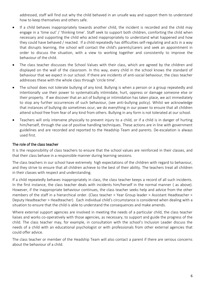addressed, staff will find out why the child behaved in an unsafe way and support them to understand how to keep themselves and others safe.

- If a child behaves inappropriately towards another child, the incident is recorded and the child may engage in a 'time out' / 'thinking time'. Staff seek to support both children, comforting the child when necessary and supporting the child who acted inappropriately to understand what happened and how they could have behaved / reacted. If a child repeatedly has difficulties self-regulating and acts in a way that disrupts learning, the school will contact the child's parents/carers and seek an appointment in order to discuss the situation, with a view to working together and consistently to improve the behaviour of the child.
- The class teacher discusses the School Values with their class, which are agreed by the children and displayed on the wall of the classroom. In this way, every child in the school knows the standard of behaviour that we expect in our school. If there are incidents of anti-social behaviour, the class teacher addresses these with the whole class through 'circle time'.
- The school does not tolerate bullying of any kind. Bullying is when a person or a group repeatedly and intentionally use their power to systematically intimidate, hurt, oppress or damage someone else or their property. If we discover that an act of bullying or intimidation has taken place, we act immediately to stop any further occurrences of such behaviour, (see anti-bullying policy). Whilst we acknowledge that instances of bullying do sometimes ocur, we do everything in our power to ensure that all children attend school free from fear of any kind from others. Bullying in any form is not tolerated at our school.
- Teachers will only intervene physically to prevent injury to a child, or if a child is in danger of hurting him/herself, through the use of positive handling techniques. These actions are in line with government guidelines and are recorded and reported to the Headship Team and parents. De-escalation is always used first.

#### The role of the class teacher

It is the responsibility of class teachers to ensure that the school values are reinforced in their classes, and that their class behave in a responsible manner during learning sessions.

The class teachers in our school have extremely high expectations of the children with regard to behaviour, and they strive to ensure that all children achieve to the best of their ability. The teachers treat all children in their classes with respect and understanding.

If a child repeatedly behaves inappropriately in class, the class teacher keeps a record of all such incidents. In the first instance, the class teacher deals with incidents him/herself in the normal manner ( as above). However, if the inappropriate behaviour continues, the class teacher seeks help and advice from the other members of the staff in a hierarchical order. (Class teacher > Year Group leader > Assistant Headteacher > Deputy Headteacher > Headteacher). Each individual child's circumstance is considered when dealing with a situation to ensure that the child is able to understand the consequences and make amends.

Where external support agencies are involved in meeting the needs of a particular child, the class teacher liaises and works co-operatively with those agencies, as necessary, to support and guide the progress of the child. The class teacher may, for example, in consultation with the school's Inclusion Leader discuss the needs of a child with an educational psychologist or with professionals from other external agencies that could offer advice.

The class teacher or member of the Headship Team will also contact a parent if there are serious concerns about the behaviour of a child.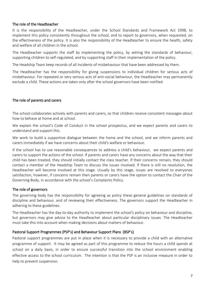#### The role of the Headteacher

It is the responsibility of the Headteacher, under the School Standards and Framework Act 1998, to implement this policy consistently throughout the school, and to report to governors, when requested, on the effectiveness of the policy. It is also the responsibility of the Headteacher to ensure the health, safety and welfare of all children in the school.

The Headteacher supports the staff by implementing the policy, by setting the standards of behaviour, supporting children to self-regulated, and by supporting staff in their implementation of the policy.

The Headship Team keep records of all incidents of misbehaviour that have been addressed by them.

The Headteacher has the responsibility for giving suspensions to individual children for serious acts of misbehaviour. For repeated or very serious acts of anti-social behaviour, the Headteacher may permanently exclude a child. These actions are taken only after the school governors have been notified.

#### The role of parents and carers

The school collaborates actively with parents and carers, so that children receive consistent messages about how to behave at home and at school.

We explain the school's Code of Conduct in the school prospectus, and we expect parents and carers to understand and support this.

We work to build a supportive dialogue between the home and the school, and we inform parents and carers immediately if we have concerns about their child's welfare or behaviour.

If the school has to use reasonable consequences to address a child's behaviour, we expect parents and carers to support the actions of the school. If parents and carers have any concerns about the way that their child has been treated, they should initially contact the class teacher. If their concerns remain, they should contact a member of the Headship Team to discuss the issues involved. If there is still no resolution, the Headteacher will become involved at this stage. Usually by this stage, issues are resolved to everyones satisfaction, however, if concerns remain then parents or carers have the option to contact the Chair of the Governing Body, in accordance with the school's Complaints Policy.

#### The role of governors

The governing body has the responsibility for agreeing as policy these general guidelines on standards of discipline and behaviour, and of reviewing their effectiveness. The governors support the Headteacher in adhering to these guidelines.

The Headteacher has the day-to-day authority to implement the school's policy on behaviour and discipline, but governors may give advice to the Headteacher about particular disciplinary issues. The Headteacher must take this into account when making decisions about matters of behaviour.

#### Pastoral Support Programmes (PSP's) and Behaviour Support Plans (BSP's)

Pastoral support programmes are put in place when it is necessary to provide a child with an alternative programme of support. It may be agreed as part of this programme to reduce the hours a child spends at school on a daily basis, in order to ensure successful transition into the school environment enabling effective access to the school curriculum. The intention is that the PSP is an inclusive measure in order to help to prevent suspension.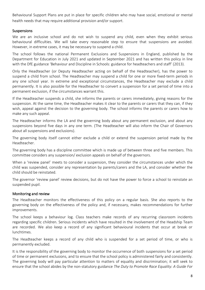Behavioural Support Plans are put in place for specific children who may have social, emotional or mental health needs that may require additional provision and/or support.

#### Suspensions

We are an inclusive school and do not wish to suspend any child, even when they exhibit serious behavioural difficulties. We will take every reasonable step to ensure that suspensions are avoided. However, in extreme cases, it may be necessary to suspend a child.

The school follows the national Permanent Exclusions and Suspensions in England, published by the Department for Education in July 2021 and updated in September 2021 and has written this policy in line with the DfE guidance 'Behaviour and Discipline in Schools: guidance for headteachers and staff' (2013).

Only the Headteacher (or Deputy Headteacher acting on behalf of the Headteacher), has the power to suspend a child from school. The Headteacher may suspend a child for one or more fixed-term periods in any one school year. In extreme and exceptional circumstances, the Headteacher may exclude a child permanently. It is also possible for the Headteacher to convert a suspension for a set period of time into a permanent exclusion, if the circumstances warrant this.

If the Headteacher suspends a child, she informs the parents or carers immediately, giving reasons for the suspension. At the same time, the Headteacher makes it clear to the parents or carers that they can, if they wish, appeal against the decision to the governing body. The school informs the parents or carers how to make any such appeal.

The Headteacher informs the LA and the governing body about any permanent exclusion, and about any suspensions beyond five days in any one term. (The Headteacher will also inform the Chair of Governors about all suspensions and exclusions).

The governing body itself cannot either exclude a child or extend the suspension period made by the Headteacher.

The governing body has a discipline committee which is made up of between three and five members. This committee considers any suspension/ exclusion appeals on behalf of the governors.

When a 'review panel' meets to consider a suspension, they consider the circumstances under which the child was suspended, consider any representation by parents/carers and the LA, and consider whether the child should be reinstated.

The governor 'review panel' review decisions, but do not have the power to force a school to reinstate an suspended pupil.

# Monitoring and review

The Headteacher monitors the effectiveness of this policy on a regular basis. She also reports to the governing body on the effectiveness of the policy and, if necessary, makes recommendations for further improvements.

The school keeps a behaviour log. Class teachers make records of any recurring classroom incidents regarding specific children. Serious incidents which have resulted in the involvement of the Headship Team are recorded. We also keep a record of any significant behavioural incidents that occur at break or lunchtimes.

The Headteacher keeps a record of any child who is suspended for a set period of time, or who is permanently excluded.

It is the responsibility of the governing body to monitor the occurrence of both suspensions for a set period of time or permanent exclusions, and to ensure that the school policy is administered fairly and consistently. The governing body will pay particular attention to matters of equality and discrimination; it will seek to ensure that the school abides by the non-statutory guidance *The Duty to Promote Race Equality: A Guide For*